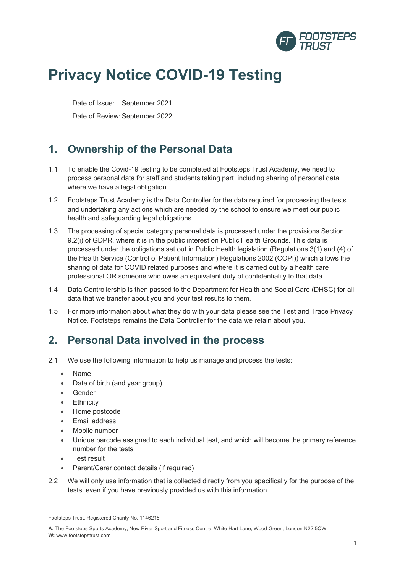

# **Privacy Notice COVID-19 Testing**

Date of Issue: September 2021

Date of Review: September 2022

### **1. Ownership of the Personal Data**

- 1.1 To enable the Covid-19 testing to be completed at Footsteps Trust Academy, we need to process personal data for staff and students taking part, including sharing of personal data where we have a legal obligation.
- 1.2 Footsteps Trust Academy is the Data Controller for the data required for processing the tests and undertaking any actions which are needed by the school to ensure we meet our public health and safeguarding legal obligations.
- 1.3 The processing of special category personal data is processed under the provisions Section 9.2(i) of GDPR, where it is in the public interest on Public Health Grounds. This data is processed under the obligations set out in Public Health legislation (Regulations 3(1) and (4) of the Health Service (Control of Patient Information) Regulations 2002 (COPI)) which allows the sharing of data for COVID related purposes and where it is carried out by a health care professional OR someone who owes an equivalent duty of confidentiality to that data.
- 1.4 Data Controllership is then passed to the Department for Health and Social Care (DHSC) for all data that we transfer about you and your test results to them.
- 1.5 For more information about what they do with your data please see the Test and Trace Privacy Notice. Footsteps remains the Data Controller for the data we retain about you.

### **2. Personal Data involved in the process**

- 2.1 We use the following information to help us manage and process the tests:
	- Name
	- Date of birth (and year group)
	- Gender
	- Ethnicity
	- Home postcode
	- Email address
	- Mobile number
	- Unique barcode assigned to each individual test, and which will become the primary reference number for the tests
	- Test result
	- Parent/Carer contact details (if required)
- 2.2 We will only use information that is collected directly from you specifically for the purpose of the tests, even if you have previously provided us with this information.

Footsteps Trust. Registered Charity No. 1146215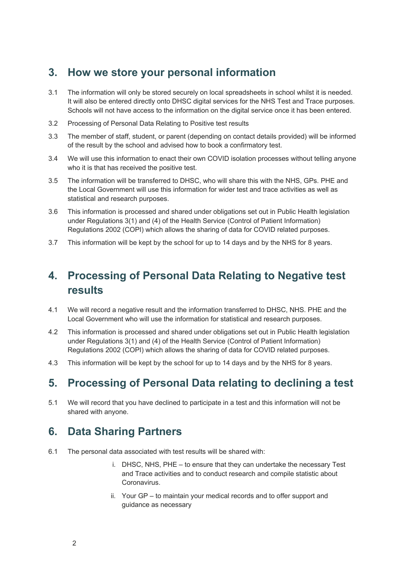#### **3. How we store your personal information**

- 3.1 The information will only be stored securely on local spreadsheets in school whilst it is needed. It will also be entered directly onto DHSC digital services for the NHS Test and Trace purposes. Schools will not have access to the information on the digital service once it has been entered.
- 3.2 Processing of Personal Data Relating to Positive test results
- 3.3 The member of staff, student, or parent (depending on contact details provided) will be informed of the result by the school and advised how to book a confirmatory test.
- 3.4 We will use this information to enact their own COVID isolation processes without telling anyone who it is that has received the positive test.
- 3.5 The information will be transferred to DHSC, who will share this with the NHS, GPs. PHE and the Local Government will use this information for wider test and trace activities as well as statistical and research purposes.
- 3.6 This information is processed and shared under obligations set out in Public Health legislation under Regulations 3(1) and (4) of the Health Service (Control of Patient Information) Regulations 2002 (COPI) which allows the sharing of data for COVID related purposes.
- 3.7 This information will be kept by the school for up to 14 days and by the NHS for 8 years.

## **4. Processing of Personal Data Relating to Negative test results**

- 4.1 We will record a negative result and the information transferred to DHSC, NHS. PHE and the Local Government who will use the information for statistical and research purposes.
- 4.2 This information is processed and shared under obligations set out in Public Health legislation under Regulations 3(1) and (4) of the Health Service (Control of Patient Information) Regulations 2002 (COPI) which allows the sharing of data for COVID related purposes.
- 4.3 This information will be kept by the school for up to 14 days and by the NHS for 8 years.

### **5. Processing of Personal Data relating to declining a test**

5.1 We will record that you have declined to participate in a test and this information will not be shared with anyone.

#### **6. Data Sharing Partners**

- 6.1 The personal data associated with test results will be shared with:
	- i. DHSC, NHS, PHE to ensure that they can undertake the necessary Test and Trace activities and to conduct research and compile statistic about Coronavirus.
	- ii. Your GP to maintain your medical records and to offer support and guidance as necessary